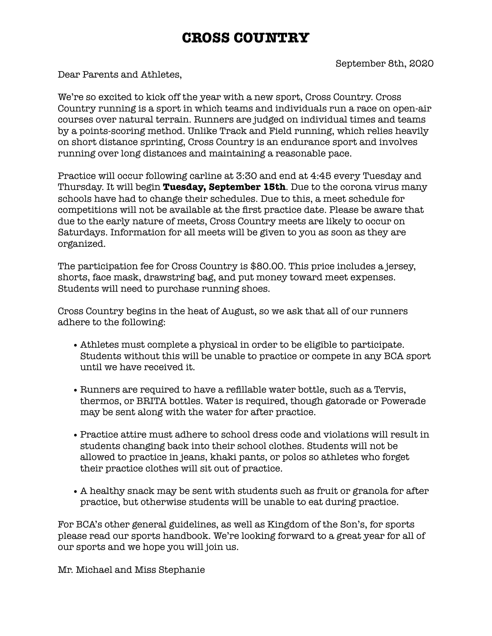## **CROSS COUNTRY**

Dear Parents and Athletes,

We're so excited to kick off the year with a new sport, Cross Country. Cross Country running is a [sport](https://en.wikipedia.org/wiki/Sport) in which teams and individuals run a race on open-air courses over natural terrain. Runners are judged on individual times and teams by a points-scoring method. Unlike Track and Field running, which relies heavily on short distance sprinting, Cross Country is an endurance sport and involves running over long distances and maintaining a reasonable pace.

Practice will occur following carline at 3:30 and end at 4:45 every Tuesday and Thursday. It will begin **Tuesday, September 15th**. Due to the corona virus many schools have had to change their schedules. Due to this, a meet schedule for competitions will not be available at the first practice date. Please be aware that due to the early nature of meets, Cross Country meets are likely to occur on Saturdays. Information for all meets will be given to you as soon as they are organized.

The participation fee for Cross Country is \$80.00. This price includes a jersey, shorts, face mask, drawstring bag, and put money toward meet expenses. Students will need to purchase running shoes.

Cross Country begins in the heat of August, so we ask that all of our runners adhere to the following:

- Athletes must complete a physical in order to be eligible to participate. Students without this will be unable to practice or compete in any BCA sport until we have received it.
- Runners are required to have a refillable water bottle, such as a Tervis, thermos, or BRITA bottles. Water is required, though gatorade or Powerade may be sent along with the water for after practice.
- •Practice attire must adhere to school dress code and violations will result in students changing back into their school clothes. Students will not be allowed to practice in jeans, khaki pants, or polos so athletes who forget their practice clothes will sit out of practice.
- A healthy snack may be sent with students such as fruit or granola for after practice, but otherwise students will be unable to eat during practice.

For BCA's other general guidelines, as well as Kingdom of the Son's, for sports please read our sports handbook. We're looking forward to a great year for all of our sports and we hope you will join us.

Mr. Michael and Miss Stephanie